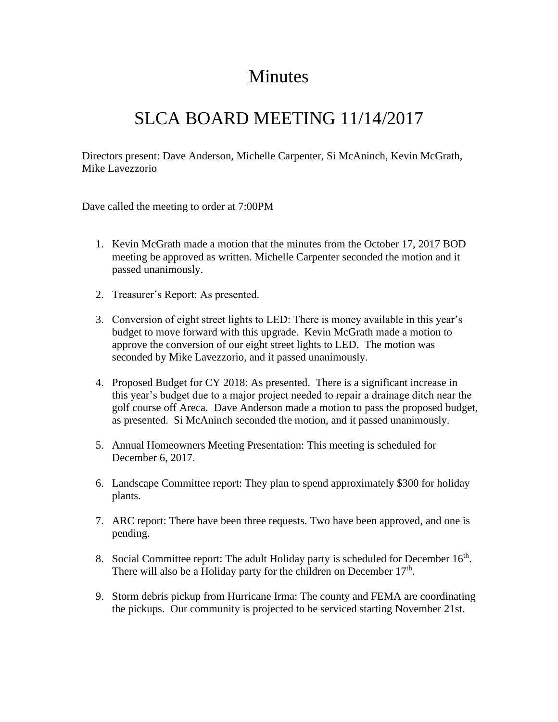## **Minutes**

## SLCA BOARD MEETING 11/14/2017

Directors present: Dave Anderson, Michelle Carpenter, Si McAninch, Kevin McGrath, Mike Lavezzorio

Dave called the meeting to order at 7:00PM

- 1. Kevin McGrath made a motion that the minutes from the October 17, 2017 BOD meeting be approved as written. Michelle Carpenter seconded the motion and it passed unanimously.
- 2. Treasurer's Report: As presented.
- 3. Conversion of eight street lights to LED: There is money available in this year's budget to move forward with this upgrade. Kevin McGrath made a motion to approve the conversion of our eight street lights to LED. The motion was seconded by Mike Lavezzorio, and it passed unanimously.
- 4. Proposed Budget for CY 2018: As presented. There is a significant increase in this year's budget due to a major project needed to repair a drainage ditch near the golf course off Areca. Dave Anderson made a motion to pass the proposed budget, as presented. Si McAninch seconded the motion, and it passed unanimously.
- 5. Annual Homeowners Meeting Presentation: This meeting is scheduled for December 6, 2017.
- 6. Landscape Committee report: They plan to spend approximately \$300 for holiday plants.
- 7. ARC report: There have been three requests. Two have been approved, and one is pending.
- 8. Social Committee report: The adult Holiday party is scheduled for December  $16<sup>th</sup>$ . There will also be a Holiday party for the children on December  $17<sup>th</sup>$ .
- 9. Storm debris pickup from Hurricane Irma: The county and FEMA are coordinating the pickups. Our community is projected to be serviced starting November 21st.